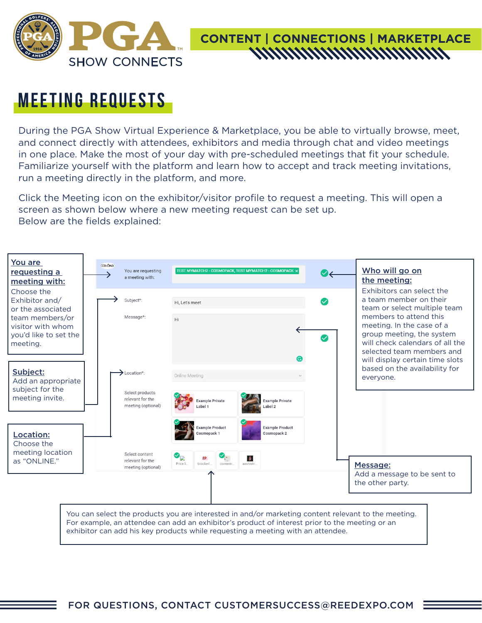

# **CONTENT | CONNECTIONS | MARKETPLACE**

#### **meeting requests**

During the PGA Show Virtual Experience & Marketplace, you be able to virtually browse, meet, and connect directly with attendees, exhibitors and media through chat and video meetings in one place. Make the most of your day with pre-scheduled meetings that fit your schedule. Familiarize yourself with the platform and learn how to accept and track meeting invitations, run a meeting directly in the platform, and more.

Click the Meeting icon on the exhibitor/visitor profile to request a meeting. This will open a screen as shown below where a new meeting request can be set up. Below are the fields explained:

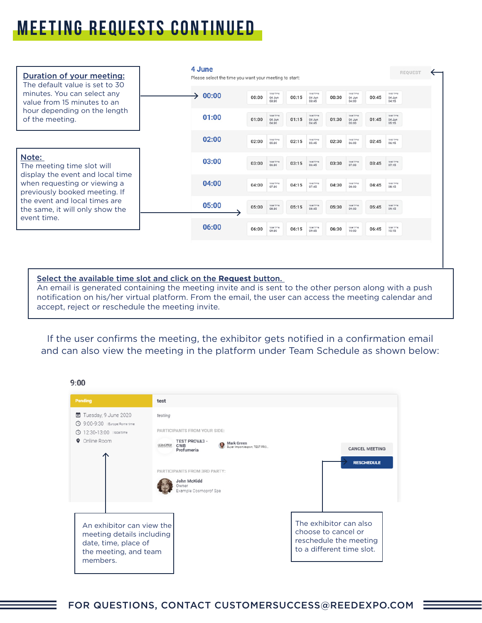### **meeting requests continued**

| Duration of your meeting:<br>The default value is set to 30                                       | 4 June<br>Please select the time you want your meeting to start: |       |                                |       |                                |       |                                |       | <b>REQUEST</b>                 |
|---------------------------------------------------------------------------------------------------|------------------------------------------------------------------|-------|--------------------------------|-------|--------------------------------|-------|--------------------------------|-------|--------------------------------|
| minutes. You can select any<br>value from 15 minutes to an                                        | 00:00                                                            | 00:00 | local time:<br>04 Jun<br>03:30 | 00:15 | local time:<br>04 Jun<br>03:45 | 00:30 | local time:<br>04 Jun<br>04:00 | 00:45 | local time.<br>04 Jun<br>04:15 |
| hour depending on the length<br>of the meeting.                                                   | 01:00                                                            | 01:00 | local time<br>04 Jun<br>04:30  | 01:15 | local time:<br>04 Jun<br>04:45 | 01:30 | local time:<br>04 Jun<br>05:00 | 01:45 | local time:<br>04 Jun<br>05:15 |
|                                                                                                   | 02:00                                                            | 02:00 | localitima<br>05:30            | 02:15 | local time:<br>05:45           | 02:30 | local time<br>06:00            | 02:45 | local time:<br>06:15           |
| Note:<br>The meeting time slot will                                                               | 03:00                                                            | 03:00 | localitime<br>06:30            | 03:15 | local time:<br>06:45           | 03:30 | local time:<br>07:00           | 03:45 | local time:<br>07:15           |
| display the event and local time<br>when requesting or viewing a<br>previously booked meeting. If | 04:00                                                            | 04:00 | localitime<br>07:30            | 04:15 | local time:<br>07:45           | 04:30 | localitime<br>08:00            | 04:45 | local time:<br>08:15           |
| the event and local times are<br>the same, it will only show the<br>event time.                   | 05:00                                                            | 05:00 | local time<br>08:30            | 05:15 | local time:<br>08:45           | 05:30 | local time<br>09:00            | 05:45 | localitima:<br>09:15           |
|                                                                                                   | 06:00                                                            | 06:00 | localitima<br>09:30            | 06:15 | local time:<br>09:45           | 06:30 | local time:<br>10:00           | 06:45 | local time:<br>10:15           |
|                                                                                                   |                                                                  |       |                                |       |                                |       |                                |       |                                |

Select the available time slot and click on the **Request** button.

An email is generated containing the meeting invite and is sent to the other person along with a push notification on his/her virtual platform. From the email, the user can access the meeting calendar and accept, reject or reschedule the meeting invite.

If the user confirms the meeting, the exhibitor gets notified in a confirmation email and can also view the meeting in the platform under Team Schedule as shown below:

#### $9:00$

| Pending                                                                                                             | test                                                                                                                                                                                                                                                                                               |
|---------------------------------------------------------------------------------------------------------------------|----------------------------------------------------------------------------------------------------------------------------------------------------------------------------------------------------------------------------------------------------------------------------------------------------|
| ■ Tuesday, 9 June 2020<br>9:00-9:30   Europe/Rome time<br>12:30-13:00   local time<br>Online Room<br>۰              | testing<br>PARTICIPANTS FROM YOUR SIDE:<br><b>TEST PROVA3 -</b><br>Mark Green<br><b>CONORCE</b><br><b>CWB</b><br>Buver Import/export, TEST PRO<br><b>CANCEL MEETING</b><br>Profumeria<br><b>RESCHEDULE</b><br>PARTICIPANTS FROM 3RD PARTY:<br>John McKidd<br><b>Jwner</b><br>Example Cosmoprof Spa |
| An exhibitor can view the<br>meeting details including<br>date, time, place of<br>the meeting, and team<br>members. | The exhibitor can also<br>choose to cancel or<br>reschedule the meeting<br>to a different time slot.                                                                                                                                                                                               |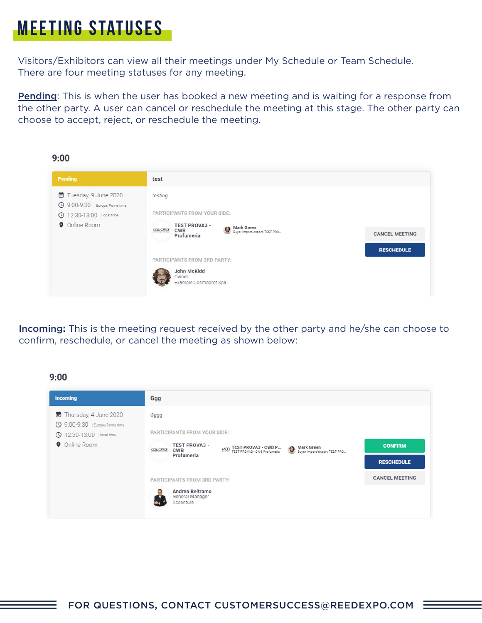## **meeting statuses**

Visitors/Exhibitors can view all their meetings under My Schedule or Team Schedule. There are four meeting statuses for any meeting.

**Pending**: This is when the user has booked a new meeting and is waiting for a response from the other party. A user can cancel or reschedule the meeting at this stage. The other party can choose to accept, reject, or reschedule the meeting.



Incoming**:** This is the meeting request received by the other party and he/she can choose to confirm, reschedule, or cancel the meeting as shown below:

#### $9:00$

| <b>Incoming</b>                                                                       | Ggg                                                                                                                                                              |                       |
|---------------------------------------------------------------------------------------|------------------------------------------------------------------------------------------------------------------------------------------------------------------|-----------------------|
| ■ Thursday, 4 June 2020<br>9:00-9:30   Europe/Rome time<br>© 12:30-13:00   local time | Gggg<br>PARTICIPANTS FROM YOUR SIDE:                                                                                                                             |                       |
| <b>Q</b> Online Room                                                                  | <b>TEST PROVA3 -</b><br>MOR TEST PROVA3 - CWB P ( Mark Green<br>MOR TEST PROVA3 - CWB Profumeria ( Buyer Import/export, TEST PRO<br><b>CONORCE</b><br><b>CWB</b> | <b>CONFIRM</b>        |
|                                                                                       | Profumeria                                                                                                                                                       | <b>RESCHEDULE</b>     |
|                                                                                       | PARTICIPANTS FROM 3RD PARTY:                                                                                                                                     | <b>CANCEL MEETING</b> |
|                                                                                       | Andrea Beltramo<br>General Manager<br>Accenture                                                                                                                  |                       |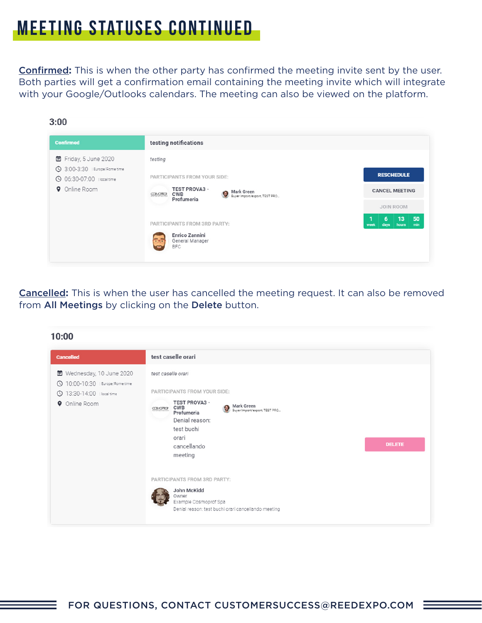### **meeting statuses continued**

Confirmed**:** This is when the other party has confirmed the meeting invite sent by the user. Both parties will get a confirmation email containing the meeting invite which will integrate with your Google/Outlooks calendars. The meeting can also be viewed on the platform.

| <b>Confirmed</b>                                                  | testing notifications                                                                               |                                               |
|-------------------------------------------------------------------|-----------------------------------------------------------------------------------------------------|-----------------------------------------------|
| ■ Friday, 5 June 2020                                             | testing                                                                                             |                                               |
| <b>3:00-3:30</b>   Europe/Rome time<br>© 06:30-07:00   local time | PARTICIPANTS FROM YOUR SIDE:                                                                        | <b>RESCHEDULE</b>                             |
| <b>O</b> Online Room                                              | <b>TEST PROVA3 -</b><br>Mark Green<br>Buyer Import/export, TEST PRO<br><b>CWB</b><br><b>CONOROF</b> | <b>CANCEL MEETING</b>                         |
|                                                                   | Profumeria                                                                                          | JOIN ROOM                                     |
|                                                                   | PARTICIPANTS FROM 3RD PARTY:                                                                        | 13<br>50<br>6<br>min<br>days<br>hours<br>week |
|                                                                   | Enrico Zannini<br>55<br>General Manager<br><b>BFC</b>                                               |                                               |

Cancelled**:** This is when the user has cancelled the meeting request. It can also be removed from All Meetings by clicking on the Delete button.

| 10:00                                                                                                             |                                                                                                                                                                                                                                                                         |  |
|-------------------------------------------------------------------------------------------------------------------|-------------------------------------------------------------------------------------------------------------------------------------------------------------------------------------------------------------------------------------------------------------------------|--|
| <b>Cancelled</b>                                                                                                  | test caselle orari                                                                                                                                                                                                                                                      |  |
| ■ Wednesday, 10 June 2020<br>© 10:00-10:30   Europe/Rome time<br>13:30-14:00   local time<br><b>O</b> Online Room | test caselle orari<br>PARTICIPANTS FROM YOUR SIDE:<br><b>TEST PROVA3 -</b><br><b>Mark Green</b><br><b>CWB</b><br>۰<br><b>CONORCE</b><br>Buyer Import/export, TEST PRO<br>Profumeria<br>Denial reason:<br>test buchi<br>orari<br><b>DELETE</b><br>cancellando<br>meeting |  |
|                                                                                                                   | PARTICIPANTS FROM 3RD PARTY:<br>John McKidd<br>Owner<br>Example Cosmoprof Spa<br>Denial reason: test buchi orari cancellando meeting                                                                                                                                    |  |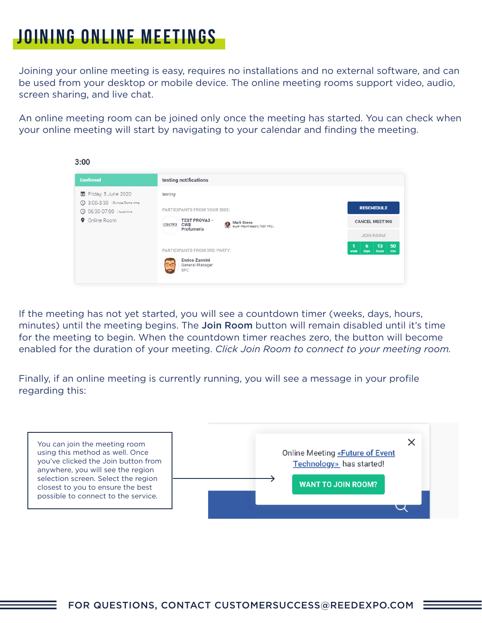#### **joining online meetings**

Joining your online meeting is easy, requires no installations and no external software, and can be used from your desktop or mobile device. The online meeting rooms support video, audio, screen sharing, and live chat.

An online meeting room can be joined only once the meeting has started. You can check when your online meeting will start by navigating to your calendar and finding the meeting.



If the meeting has not yet started, you will see a countdown timer (weeks, days, hours, minutes) until the meeting begins. The Join Room button will remain disabled until it's time for the meeting to begin. When the countdown timer reaches zero, the button will become enabled for the duration of your meeting. *Click Join Room to connect to your meeting room.*

Finally, if an online meeting is currently running, you will see a message in your profile regarding this:

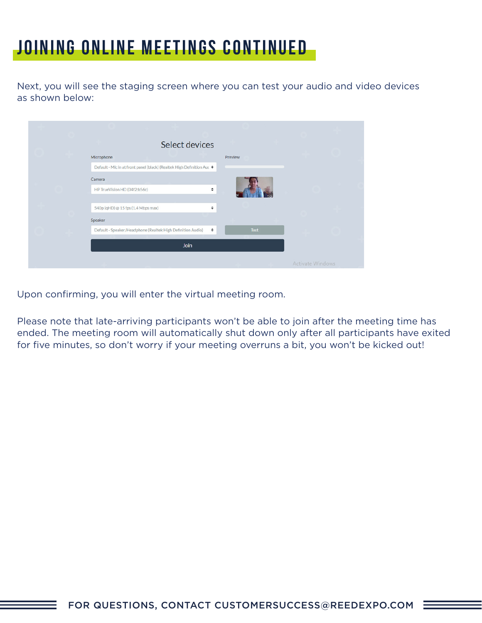#### **joining online meetings continued**

Next, you will see the staging screen where you can test your audio and video devices as shown below:

| Select devices                                                         |             |                         |  |
|------------------------------------------------------------------------|-------------|-------------------------|--|
| Microphone                                                             | Preview     |                         |  |
| Default - Mic in at front panel (black) (Realtek High Definition Auc ♦ |             |                         |  |
| Camera                                                                 |             |                         |  |
| HP TrueVision HD (04f2:b56c)<br>÷                                      |             |                         |  |
|                                                                        |             |                         |  |
| 540p (qHD) @ 15 fps (1.4 Mbps max)<br>÷                                |             |                         |  |
| Speaker                                                                |             |                         |  |
| Default - Speaker/Headphone (Realtek High Definition Audio)<br>÷       | <b>Test</b> |                         |  |
| <b>Join</b>                                                            |             |                         |  |
|                                                                        |             | <b>Activate Windows</b> |  |

Upon confirming, you will enter the virtual meeting room.

Please note that late-arriving participants won't be able to join after the meeting time has ended. The meeting room will automatically shut down only after all participants have exited for five minutes, so don't worry if your meeting overruns a bit, you won't be kicked out!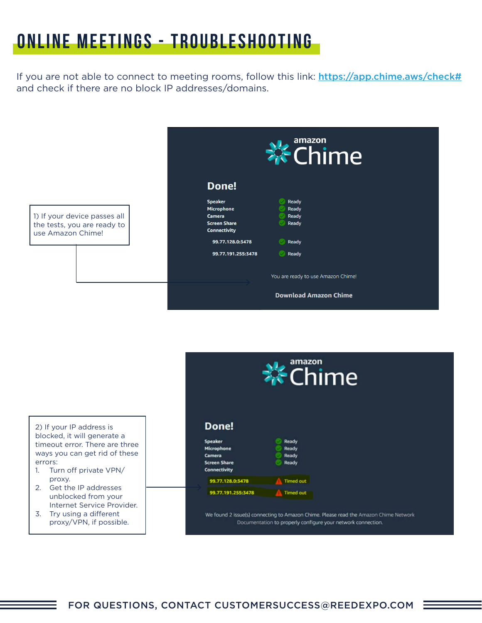### **online meetings - troubleshooting**

If you are not able to connect to meeting rooms, follow this link: <https://app.chime.aws/check#> and check if there are no block IP addresses/domains.





- 1. Turn off private VPN/ proxy.
- 2. Get the IP addresses unblocked from your Internet Service Provider.
- 3. Try using a different proxy/VPN, if possible.

#### Done!



We found 2 issue(s) connecting to Amazon Chime. Please read the Amazon Chime Network Documentation to properly configure your network connection.

amazon

**Chime**